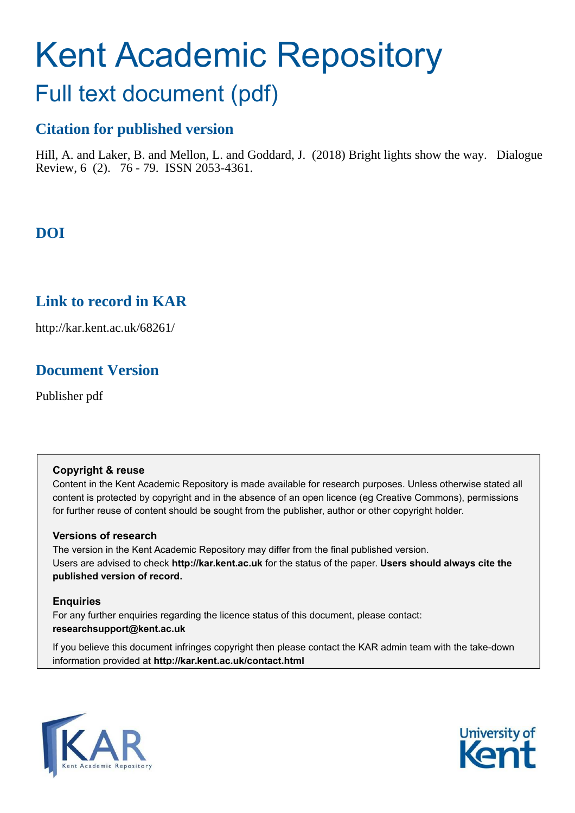## Kent Academic Repository

## Full text document (pdf)

### **Citation for published version**

Hill, A. and Laker, B. and Mellon, L. and Goddard, J. (2018) Bright lights show the way. Dialogue Review, 6 (2). 76 - 79. ISSN 2053-4361.

## **DOI**

## **Link to record in KAR**

http://kar.kent.ac.uk/68261/

## **Document Version**

Publisher pdf

### **Copyright & reuse**

Content in the Kent Academic Repository is made available for research purposes. Unless otherwise stated all content is protected by copyright and in the absence of an open licence (eg Creative Commons), permissions for further reuse of content should be sought from the publisher, author or other copyright holder.

### **Versions of research**

The version in the Kent Academic Repository may differ from the final published version. Users are advised to check **http://kar.kent.ac.uk** for the status of the paper. **Users should always cite the published version of record.**

### **Enquiries**

For any further enquiries regarding the licence status of this document, please contact: **researchsupport@kent.ac.uk**

If you believe this document infringes copyright then please contact the KAR admin team with the take-down information provided at **http://kar.kent.ac.uk/contact.html**



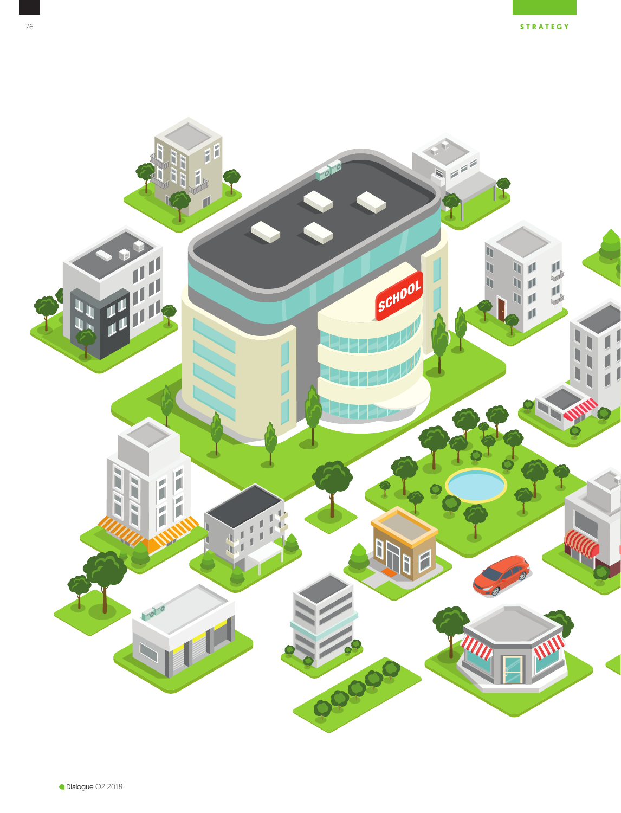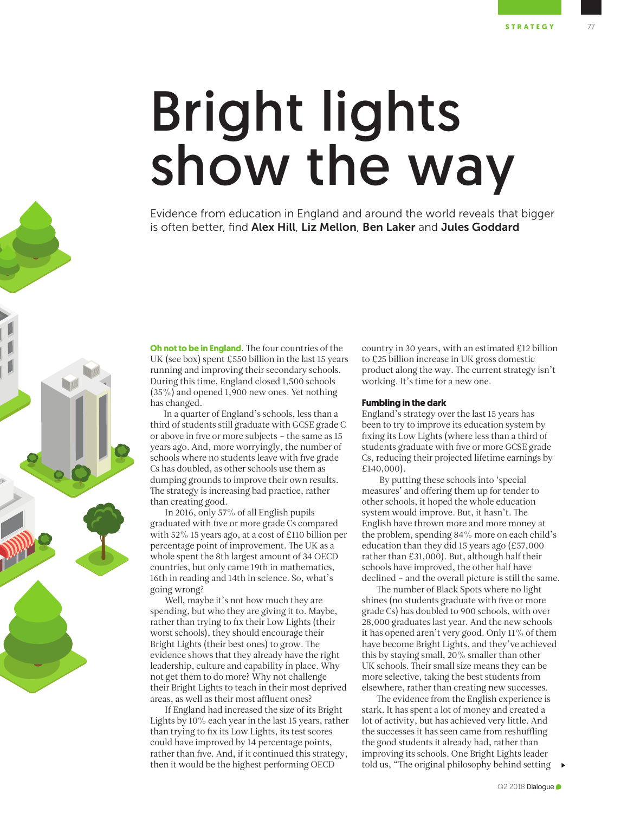# Bright lights show the way

Evidence from education in England and around the world reveals that bigger is often better, find Alex Hill, Liz Mellon, Ben Laker and Jules Goddard

**Oh not to be in England**. The four countries of the UK (see box) spent £550 billion in the last 15 years running and improving their secondary schools. During this time, England closed 1,500 schools (35%) and opened 1,900 new ones. Yet nothing has changed.

 In a quarter of England's schools, less than a third of students still graduate with GCSE grade C or above in ive or more subjects – the same as 15 years ago. And, more worryingly, the number of schools where no students leave with five grade Cs has doubled, as other schools use them as dumping grounds to improve their own results. he strategy is increasing bad practice, rather than creating good.

In 2016, only 57% of all English pupils graduated with ive or more grade Cs compared with 52% 15 years ago, at a cost of £110 billion per percentage point of improvement. The UK as a whole spent the 8th largest amount of 34 OECD countries, but only came 19th in mathematics, 16th in reading and 14th in science. So, what's going wrong?

Well, maybe it's not how much they are spending, but who they are giving it to. Maybe, rather than trying to fix their Low Lights (their worst schools), they should encourage their Bright Lights (their best ones) to grow. The evidence shows that they already have the right leadership, culture and capability in place. Why not get them to do more? Why not challenge their Bright Lights to teach in their most deprived areas, as well as their most affluent ones?

If England had increased the size of its Bright Lights by 10% each year in the last 15 years, rather than trying to fix its Low Lights, its test scores could have improved by 14 percentage points, rather than five. And, if it continued this strategy, then it would be the highest performing OECD

country in 30 years, with an estimated £12 billion to £25 billion increase in UK gross domestic product along the way. The current strategy isn't working. It's time for a new one.

#### **Fumbling in the dark**

England's strategy over the last 15 years has been to try to improve its education system by fixing its Low Lights (where less than a third of students graduate with five or more GCSE grade Cs, reducing their projected lifetime earnings by £140,000).

 By putting these schools into 'special measures' and ofering them up for tender to other schools, it hoped the whole education system would improve. But, it hasn't. The English have thrown more and more money at the problem, spending 84% more on each child's education than they did 15 years ago (£57,000 rather than £31,000). But, although half their schools have improved, the other half have declined – and the overall picture is still the same.

The number of Black Spots where no light shines (no students graduate with five or more grade Cs) has doubled to 900 schools, with over 28,000 graduates last year. And the new schools it has opened aren't very good. Only 11% of them have become Bright Lights, and they've achieved this by staying small, 20% smaller than other UK schools. Their small size means they can be more selective, taking the best students from elsewhere, rather than creating new successes.

he evidence from the English experience is stark. It has spent a lot of money and created a lot of activity, but has achieved very little. And the successes it has seen came from reshuffling the good students it already had, rather than improving its schools. One Bright Lights leader told us, "The original philosophy behind setting  $\rightarrow$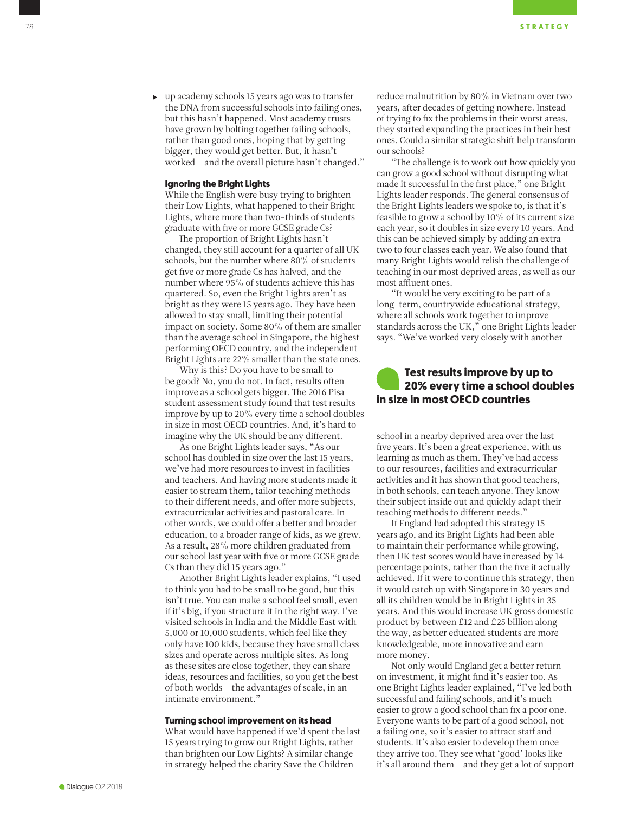up academy schools 15 years ago was to transfer the DNA from successful schools into failing ones, but this hasn't happened. Most academy trusts have grown by bolting together failing schools, rather than good ones, hoping that by getting bigger, they would get better. But, it hasn't worked – and the overall picture hasn't changed."

### **Ignoring the Bright Lights**

While the English were busy trying to brighten their Low Lights, what happened to their Bright Lights, where more than two-thirds of students graduate with five or more GCSE grade Cs?

The proportion of Bright Lights hasn't changed, they still account for a quarter of all UK schools, but the number where 80% of students get five or more grade Cs has halved, and the number where 95% of students achieve this has quartered. So, even the Bright Lights aren't as bright as they were 15 years ago. They have been allowed to stay small, limiting their potential impact on society. Some 80% of them are smaller than the average school in Singapore, the highest performing OECD country, and the independent Bright Lights are 22% smaller than the state ones.

Why is this? Do you have to be small to be good? No, you do not. In fact, results often improve as a school gets bigger. The 2016 Pisa student assessment study found that test results improve by up to 20% every time a school doubles in size in most OECD countries. And, it's hard to imagine why the UK should be any diferent.

As one Bright Lights leader says, "As our school has doubled in size over the last 15 years, we've had more resources to invest in facilities and teachers. And having more students made it easier to stream them, tailor teaching methods to their different needs, and offer more subjects, extracurricular activities and pastoral care. In other words, we could offer a better and broader education, to a broader range of kids, as we grew. As a result, 28% more children graduated from our school last year with five or more GCSE grade Cs than they did 15 years ago."

Another Bright Lights leader explains, "I used to think you had to be small to be good, but this isn't true. You can make a school feel small, even if it's big, if you structure it in the right way. I've visited schools in India and the Middle East with 5,000 or 10,000 students, which feel like they only have 100 kids, because they have small class sizes and operate across multiple sites. As long as these sites are close together, they can share ideas, resources and facilities, so you get the best of both worlds – the advantages of scale, in an intimate environment."

### **Turning school improvement on its head**

What would have happened if we'd spent the last 15 years trying to grow our Bright Lights, rather than brighten our Low Lights? A similar change in strategy helped the charity Save the Children

reduce malnutrition by 80% in Vietnam over two years, after decades of getting nowhere. Instead of trying to fix the problems in their worst areas, they started expanding the practices in their best ones. Could a similar strategic shift help transform our schools?

"he challenge is to work out how quickly you can grow a good school without disrupting what made it successful in the first place," one Bright Lights leader responds. The general consensus of the Bright Lights leaders we spoke to, is that it's feasible to grow a school by 10% of its current size each year, so it doubles in size every 10 years. And this can be achieved simply by adding an extra two to four classes each year. We also found that many Bright Lights would relish the challenge of teaching in our most deprived areas, as well as our most affluent ones.

"It would be very exciting to be part of a long-term, countrywide educational strategy, where all schools work together to improve standards across the UK," one Bright Lights leader says. "We've worked very closely with another

### **Test results improve by up to 20% every time a school doubles in size in most OECD countries**

school in a nearby deprived area over the last five years. It's been a great experience, with us learning as much as them. They've had access to our resources, facilities and extracurricular activities and it has shown that good teachers, in both schools, can teach anyone. They know their subject inside out and quickly adapt their teaching methods to diferent needs."

If England had adopted this strategy 15 years ago, and its Bright Lights had been able to maintain their performance while growing, then UK test scores would have increased by 14 percentage points, rather than the five it actually achieved. If it were to continue this strategy, then it would catch up with Singapore in 30 years and all its children would be in Bright Lights in 35 years. And this would increase UK gross domestic product by between £12 and £25 billion along the way, as better educated students are more knowledgeable, more innovative and earn more money.

Not only would England get a better return on investment, it might find it's easier too. As one Bright Lights leader explained, "I've led both successful and failing schools, and it's much easier to grow a good school than fix a poor one. Everyone wants to be part of a good school, not a failing one, so it's easier to attract staff and students. It's also easier to develop them once they arrive too. They see what 'good' looks like – it's all around them – and they get a lot of support